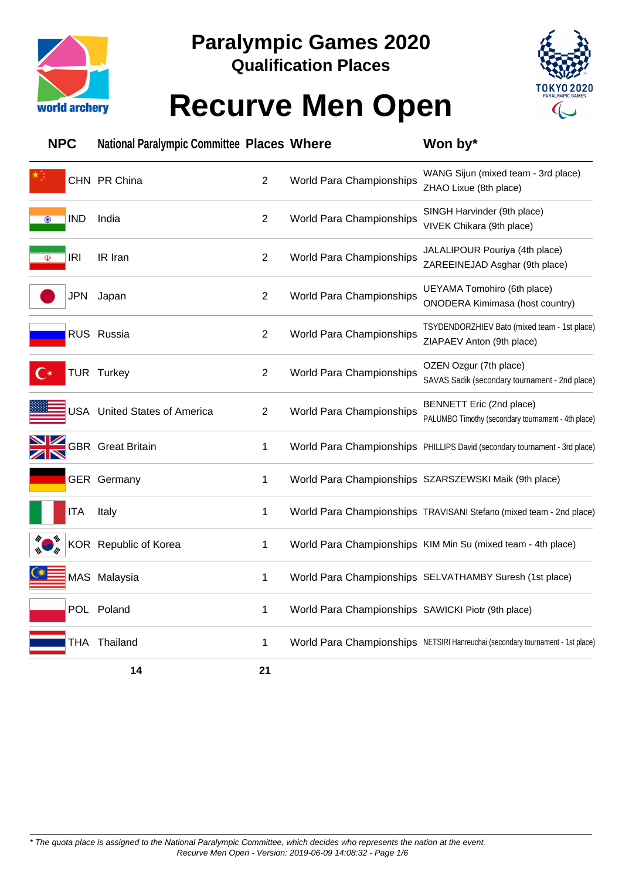



### **Recurve Men Open**

| <b>NPC</b>               | <b>National Paralympic Committee Places Where</b> |                |                                                    | Won by*                                                                        |
|--------------------------|---------------------------------------------------|----------------|----------------------------------------------------|--------------------------------------------------------------------------------|
|                          | CHN PR China                                      | $\overline{2}$ | World Para Championships                           | WANG Sijun (mixed team - 3rd place)<br>ZHAO Lixue (8th place)                  |
| <b>IND</b><br>$\bigcirc$ | India                                             | $\overline{2}$ | World Para Championships                           | SINGH Harvinder (9th place)<br>VIVEK Chikara (9th place)                       |
| <b>IRI</b><br>$\Phi$     | IR Iran                                           | $\overline{2}$ | World Para Championships                           | JALALIPOUR Pouriya (4th place)<br>ZAREEINEJAD Asghar (9th place)               |
| <b>JPN</b>               | Japan                                             | $\overline{2}$ | World Para Championships                           | UEYAMA Tomohiro (6th place)<br><b>ONODERA Kimimasa (host country)</b>          |
|                          | RUS Russia                                        | $\overline{2}$ | World Para Championships                           | TSYDENDORZHIEV Bato (mixed team - 1st place)<br>ZIAPAEV Anton (9th place)      |
|                          | TUR Turkey                                        | $\overline{2}$ | World Para Championships                           | OZEN Ozgur (7th place)<br>SAVAS Sadik (secondary tournament - 2nd place)       |
|                          | USA United States of America                      | $\overline{2}$ | World Para Championships                           | BENNETT Eric (2nd place)<br>PALUMBO Timothy (secondary tournament - 4th place) |
|                          | <b>GBR</b> Great Britain                          | 1              |                                                    | World Para Championships PHILLIPS David (secondary tournament - 3rd place)     |
|                          | GER Germany                                       | 1              |                                                    | World Para Championships SZARSZEWSKI Maik (9th place)                          |
| <b>ITA</b>               | Italy                                             | 1              |                                                    | World Para Championships TRAVISANI Stefano (mixed team - 2nd place)            |
|                          | KOR Republic of Korea                             | 1              |                                                    | World Para Championships KIM Min Su (mixed team - 4th place)                   |
|                          | MAS Malaysia                                      | 1              |                                                    | World Para Championships SELVATHAMBY Suresh (1st place)                        |
|                          | POL Poland                                        | 1              | World Para Championships SAWICKI Piotr (9th place) |                                                                                |
|                          | THA Thailand                                      | 1              |                                                    | World Para Championships NETSIRI Hanreuchai (secondary tournament - 1st place) |
|                          | 14                                                | 21             |                                                    |                                                                                |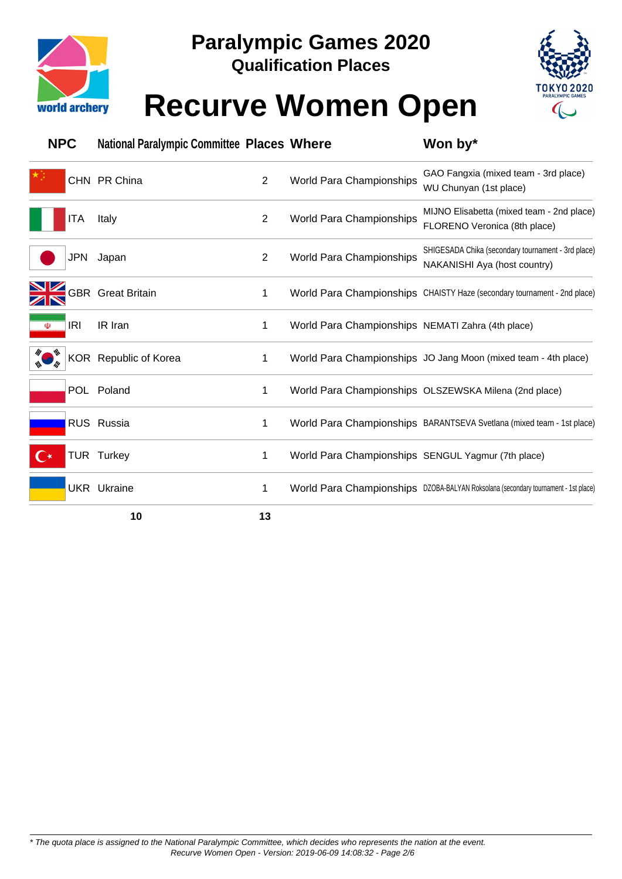



### **Recurve Women Open**

| <b>NPC</b>           | <b>National Paralympic Committee Places Where</b> |                |                                                    | Won by*                                                                            |
|----------------------|---------------------------------------------------|----------------|----------------------------------------------------|------------------------------------------------------------------------------------|
|                      | CHN PR China                                      | $\overline{2}$ | World Para Championships                           | GAO Fangxia (mixed team - 3rd place)<br>WU Chunyan (1st place)                     |
| ITA                  | Italy                                             | $\overline{2}$ | World Para Championships                           | MIJNO Elisabetta (mixed team - 2nd place)<br>FLORENO Veronica (8th place)          |
| JPN                  | Japan                                             | $\overline{2}$ | World Para Championships                           | SHIGESADA Chika (secondary tournament - 3rd place)<br>NAKANISHI Aya (host country) |
|                      | <b>GBR</b> Great Britain                          | 1              |                                                    | World Para Championships CHAISTY Haze (secondary tournament - 2nd place)           |
| <b>IRI</b><br>$\Phi$ | IR Iran                                           | 1              | World Para Championships NEMATI Zahra (4th place)  |                                                                                    |
|                      | KOR Republic of Korea                             | 1              |                                                    | World Para Championships JO Jang Moon (mixed team - 4th place)                     |
|                      | POL Poland                                        | 1              |                                                    | World Para Championships OLSZEWSKA Milena (2nd place)                              |
|                      | RUS Russia                                        | 1              |                                                    | World Para Championships BARANTSEVA Svetlana (mixed team - 1st place)              |
|                      | TUR Turkey                                        | 1              | World Para Championships SENGUL Yagmur (7th place) |                                                                                    |
|                      | <b>UKR</b> Ukraine                                | 1              |                                                    | World Para Championships DZOBA-BALYAN Roksolana (secondary tournament - 1st place) |
|                      | 10                                                | 13             |                                                    |                                                                                    |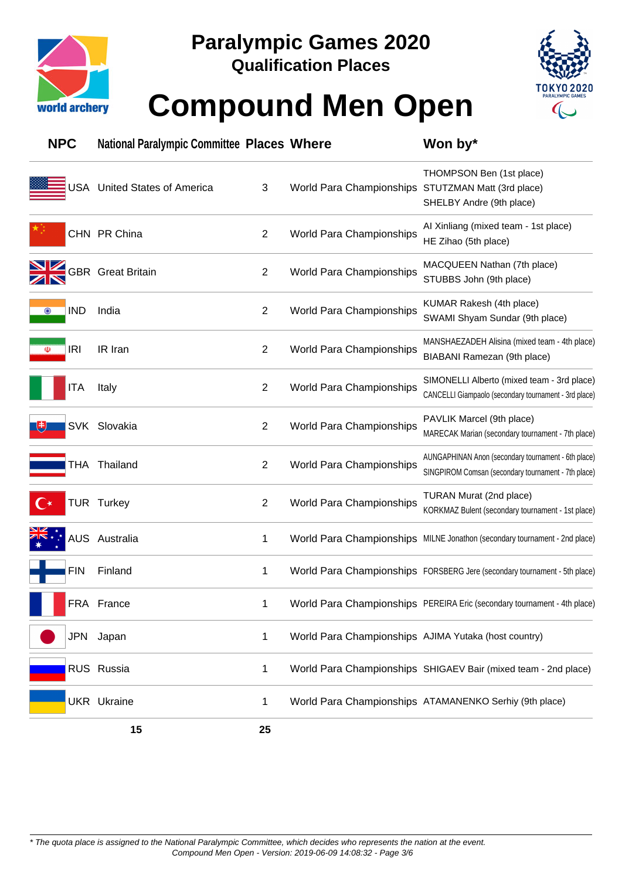



### **Compound Men Open**

| <b>NPC</b>               | <b>National Paralympic Committee Places Where</b> |                |                                                      | Won by*                                                                                                    |
|--------------------------|---------------------------------------------------|----------------|------------------------------------------------------|------------------------------------------------------------------------------------------------------------|
|                          | USA United States of America                      | 3              | World Para Championships                             | THOMPSON Ben (1st place)<br>STUTZMAN Matt (3rd place)<br>SHELBY Andre (9th place)                          |
|                          | CHN PR China                                      | $\overline{2}$ | World Para Championships                             | Al Xinliang (mixed team - 1st place)<br>HE Zihao (5th place)                                               |
|                          | <b>GBR</b> Great Britain                          | $\overline{2}$ | World Para Championships                             | MACQUEEN Nathan (7th place)<br>STUBBS John (9th place)                                                     |
| <b>IND</b><br>$\bigcirc$ | India                                             | 2              | World Para Championships                             | KUMAR Rakesh (4th place)<br>SWAMI Shyam Sundar (9th place)                                                 |
| <b>IRI</b><br>$\Phi$     | IR Iran                                           | $\overline{2}$ | World Para Championships                             | MANSHAEZADEH Alisina (mixed team - 4th place)<br>BIABANI Ramezan (9th place)                               |
| <b>ITA</b>               | Italy                                             | $\overline{2}$ | World Para Championships                             | SIMONELLI Alberto (mixed team - 3rd place)<br>CANCELLI Giampaolo (secondary tournament - 3rd place)        |
| SVK                      | Slovakia                                          | $\overline{2}$ | World Para Championships                             | PAVLIK Marcel (9th place)<br>MARECAK Marian (secondary tournament - 7th place)                             |
|                          | THA Thailand                                      | $\overline{2}$ | World Para Championships                             | AUNGAPHINAN Anon (secondary tournament - 6th place)<br>SINGPIROM Comsan (secondary tournament - 7th place) |
|                          | <b>TUR Turkey</b>                                 | $\overline{2}$ | World Para Championships                             | TURAN Murat (2nd place)<br>KORKMAZ Bulent (secondary tournament - 1st place)                               |
|                          | <b>AUS</b> Australia                              | 1              |                                                      | World Para Championships MILNE Jonathon (secondary tournament - 2nd place)                                 |
| <b>FIN</b>               | Finland                                           | 1              |                                                      | World Para Championships FORSBERG Jere (secondary tournament - 5th place)                                  |
|                          | FRA France                                        |                |                                                      | World Para Championships PEREIRA Eric (secondary tournament - 4th place)                                   |
|                          | JPN Japan                                         | 1              | World Para Championships AJIMA Yutaka (host country) |                                                                                                            |
|                          | RUS Russia                                        | 1              |                                                      | World Para Championships SHIGAEV Bair (mixed team - 2nd place)                                             |
|                          | <b>UKR</b> Ukraine                                | 1              |                                                      | World Para Championships ATAMANENKO Serhiy (9th place)                                                     |
|                          | 15                                                | 25             |                                                      |                                                                                                            |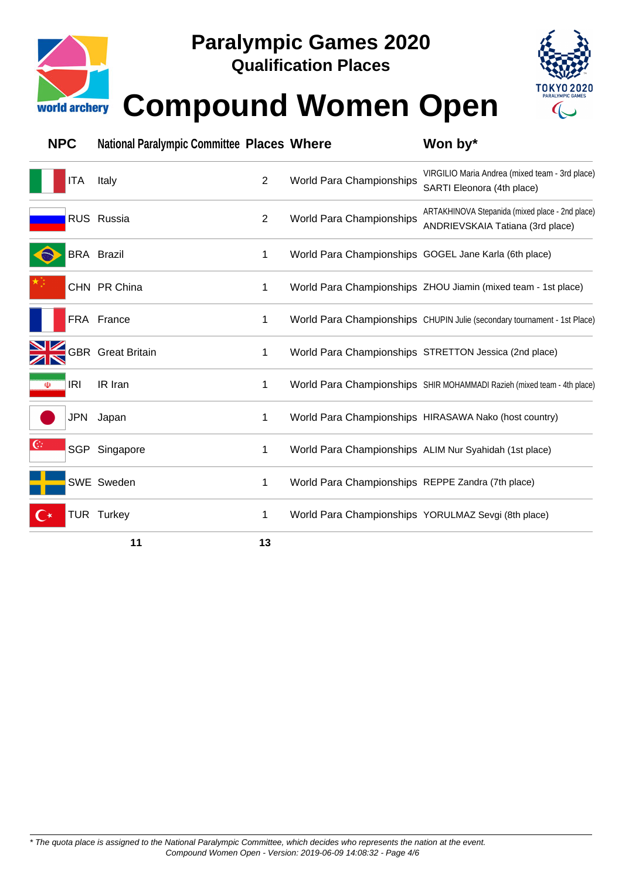

# **Paralympic Games 2020**

**Qualification Places**



# **Compound Women Open**

| <b>NPC</b>           | <b>National Paralympic Committee Places Where</b> |    |                                                     | Won by*                                                                             |
|----------------------|---------------------------------------------------|----|-----------------------------------------------------|-------------------------------------------------------------------------------------|
| ITA                  | Italy                                             | 2  | <b>World Para Championships</b>                     | VIRGILIO Maria Andrea (mixed team - 3rd place)<br>SARTI Eleonora (4th place)        |
|                      | RUS Russia                                        | 2  | World Para Championships                            | ARTAKHINOVA Stepanida (mixed place - 2nd place)<br>ANDRIEVSKAIA Tatiana (3rd place) |
|                      | <b>BRA Brazil</b>                                 | 1  |                                                     | World Para Championships GOGEL Jane Karla (6th place)                               |
|                      | CHN PR China                                      | 1  |                                                     | World Para Championships ZHOU Jiamin (mixed team - 1st place)                       |
|                      | FRA France                                        | 1  |                                                     | World Para Championships CHUPIN Julie (secondary tournament - 1st Place)            |
|                      | <b>GBR</b> Great Britain                          | 1  |                                                     | World Para Championships STRETTON Jessica (2nd place)                               |
| <b>IRI</b><br>$\Phi$ | IR Iran                                           | 1  |                                                     | World Para Championships SHIR MOHAMMADI Razieh (mixed team - 4th place)             |
| JPN                  | Japan                                             | 1  |                                                     | World Para Championships HIRASAWA Nako (host country)                               |
| $\mathbb{G}$         | SGP Singapore                                     | 1  |                                                     | World Para Championships ALIM Nur Syahidah (1st place)                              |
|                      | SWE Sweden                                        | 1  | World Para Championships REPPE Zandra (7th place)   |                                                                                     |
| $\mathbf{C}$         | <b>TUR Turkey</b>                                 | 1  | World Para Championships YORULMAZ Sevgi (8th place) |                                                                                     |
|                      | 11                                                | 13 |                                                     |                                                                                     |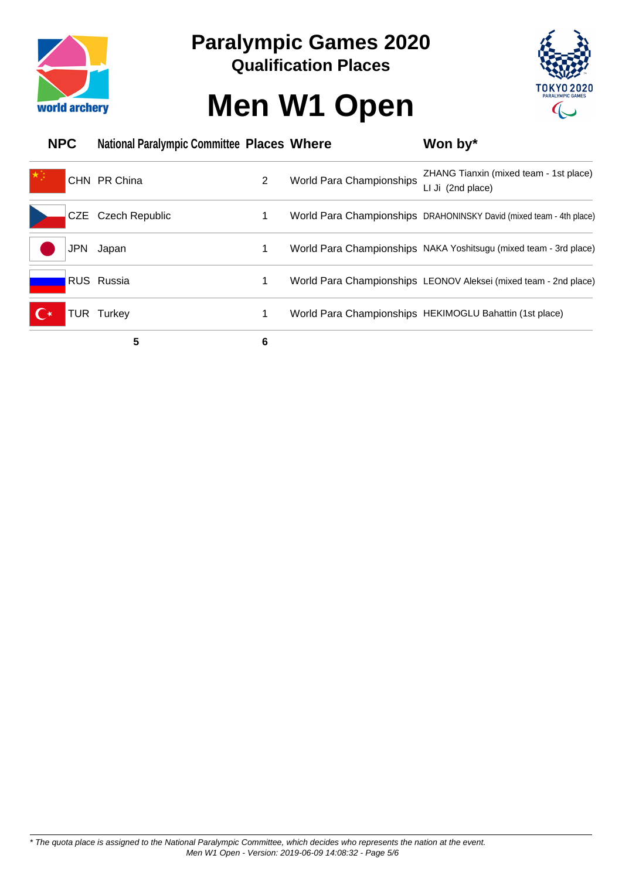



# **Men W1 Open**

| <b>NPC</b> | <b>National Paralympic Committee Places Where</b> |   |                          | Won by*                                                             |
|------------|---------------------------------------------------|---|--------------------------|---------------------------------------------------------------------|
|            | CHN PR China                                      | 2 | World Para Championships | ZHANG Tianxin (mixed team - 1st place)<br>LI Ji (2nd place)         |
|            | CZE Czech Republic                                |   |                          | World Para Championships DRAHONINSKY David (mixed team - 4th place) |
| <b>JPN</b> | Japan                                             |   |                          | World Para Championships NAKA Yoshitsugu (mixed team - 3rd place)   |
|            | <b>RUS Russia</b>                                 |   |                          | World Para Championships LEONOV Aleksei (mixed team - 2nd place)    |
|            | <b>TUR Turkey</b>                                 |   |                          | World Para Championships HEKIMOGLU Bahattin (1st place)             |
|            | 5                                                 | 6 |                          |                                                                     |